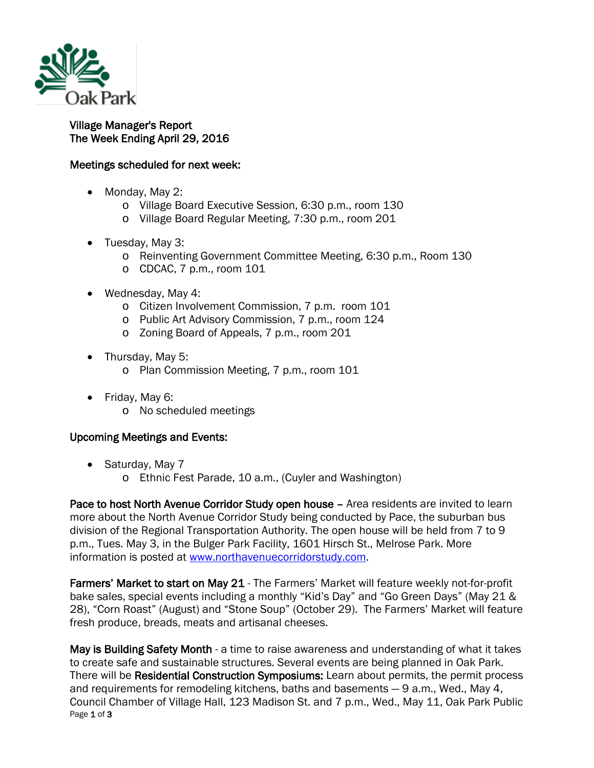

## Village Manager's Report The Week Ending April 29, 2016

## Meetings scheduled for next week:

- Monday, May 2:
	- o Village Board Executive Session, 6:30 p.m., room 130
	- o Village Board Regular Meeting, 7:30 p.m., room 201
- Tuesday, May 3:
	- o Reinventing Government Committee Meeting, 6:30 p.m., Room 130
	- $\circ$  CDCAC, 7 p.m., room 101
- Wednesday, May 4:
	- o Citizen Involvement Commission, 7 p.m. room 101
	- o Public Art Advisory Commission, 7 p.m., room 124
	- o Zoning Board of Appeals, 7 p.m., room 201
- Thursday, May 5:
	- o Plan Commission Meeting, 7 p.m., room 101
- Friday, May 6:
	- o No scheduled meetings

## Upcoming Meetings and Events:

- Saturday, May 7
	- o Ethnic Fest Parade, 10 a.m., (Cuyler and Washington)

Pace to host North Avenue Corridor Study open house – Area residents are invited to learn more about the North Avenue Corridor Study being conducted by Pace, the suburban bus division of the Regional Transportation Authority. The open house will be held from 7 to 9 p.m., Tues. May 3, in the Bulger Park Facility, 1601 Hirsch St., Melrose Park. More information is posted at [www.northavenuecorridorstudy.com.](http://r20.rs6.net/tn.jsp?e=001AE7bWILVWbUvZqT_RbkdJbRFUMD9Q4SVfQvmg1JcrSbtAUBY1vQEywHuTKupctWNt9t_PZrHKubIrC1MItpCUq2aTUrh-0SDjZSpLgvlrOi7tyMGgxflN3ihgovw23Sd)

Farmers' Market to start on May 21 - The Farmers' Market will feature weekly not-for-profit bake sales, special events including a monthly "Kid's Day" and "Go Green Days" (May 21 & 28), "Corn Roast" (August) and "Stone Soup" (October 29). The Farmers' Market will feature fresh produce, breads, meats and artisanal cheeses.

Page 1 of 3 May is Building Safety Month - a time to raise awareness and understanding of what it takes to create safe and sustainable structures. Several events are being planned in Oak Park. There will be Residential Construction Symposiums: Learn about permits, the permit process and requirements for remodeling kitchens, baths and basements — 9 a.m., Wed., May 4, Council Chamber of Village Hall, 123 Madison St. and 7 p.m., Wed., May 11, Oak Park Public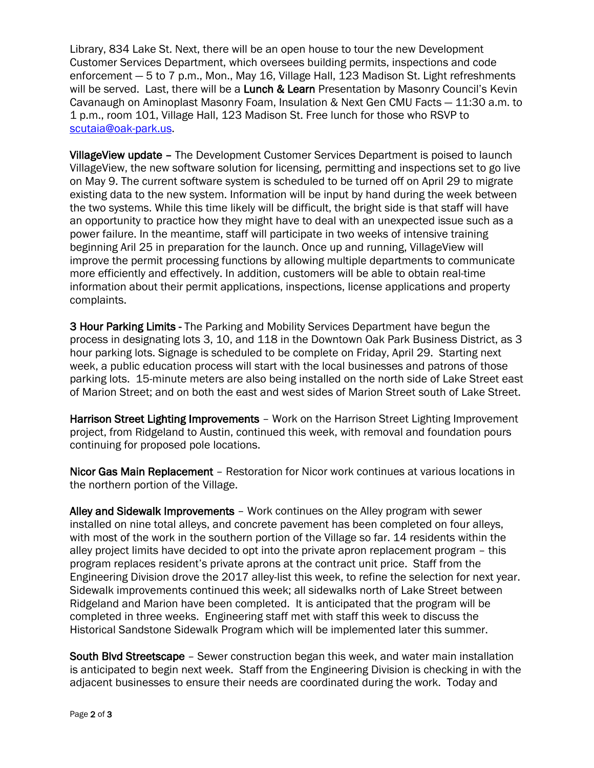Library, 834 Lake St. Next, there will be an open house to tour the new Development Customer Services Department, which oversees building permits, inspections and code enforcement — 5 to 7 p.m., Mon., May 16, Village Hall, 123 Madison St. Light refreshments will be served. Last, there will be a Lunch & Learn Presentation by Masonry Council's Kevin Cavanaugh on Aminoplast Masonry Foam, Insulation & Next Gen CMU Facts — 11:30 a.m. to 1 p.m., room 101, Village Hall, 123 Madison St. Free lunch for those who RSVP to [scutaia@oak-park.us.](mailto:scutaia@oak-park.us)

VillageView update – The Development Customer Services Department is poised to launch VillageView, the new software solution for licensing, permitting and inspections set to go live on May 9. The current software system is scheduled to be turned off on April 29 to migrate existing data to the new system. Information will be input by hand during the week between the two systems. While this time likely will be difficult, the bright side is that staff will have an opportunity to practice how they might have to deal with an unexpected issue such as a power failure. In the meantime, staff will participate in two weeks of intensive training beginning Aril 25 in preparation for the launch. Once up and running, VillageView will improve the permit processing functions by allowing multiple departments to communicate more efficiently and effectively. In addition, customers will be able to obtain real-time information about their permit applications, inspections, license applications and property complaints.

3 Hour Parking Limits - The Parking and Mobility Services Department have begun the process in designating lots 3, 10, and 118 in the Downtown Oak Park Business District, as 3 hour parking lots. Signage is scheduled to be complete on Friday, April 29. Starting next week, a public education process will start with the local businesses and patrons of those parking lots. 15-minute meters are also being installed on the north side of Lake Street east of Marion Street; and on both the east and west sides of Marion Street south of Lake Street.

Harrison Street Lighting Improvements – Work on the Harrison Street Lighting Improvement project, from Ridgeland to Austin, continued this week, with removal and foundation pours continuing for proposed pole locations.

Nicor Gas Main Replacement – Restoration for Nicor work continues at various locations in the northern portion of the Village.

Alley and Sidewalk Improvements – Work continues on the Alley program with sewer installed on nine total alleys, and concrete pavement has been completed on four alleys, with most of the work in the southern portion of the Village so far. 14 residents within the alley project limits have decided to opt into the private apron replacement program – this program replaces resident's private aprons at the contract unit price. Staff from the Engineering Division drove the 2017 alley-list this week, to refine the selection for next year. Sidewalk improvements continued this week; all sidewalks north of Lake Street between Ridgeland and Marion have been completed. It is anticipated that the program will be completed in three weeks. Engineering staff met with staff this week to discuss the Historical Sandstone Sidewalk Program which will be implemented later this summer.

South Blvd Streetscape – Sewer construction began this week, and water main installation is anticipated to begin next week. Staff from the Engineering Division is checking in with the adjacent businesses to ensure their needs are coordinated during the work. Today and